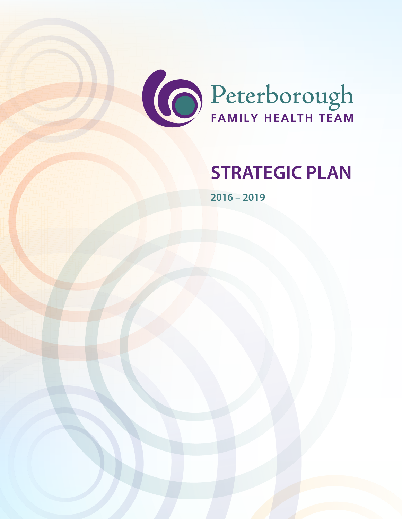

# **STRATEGIC PLAN**

**2016 – 2019**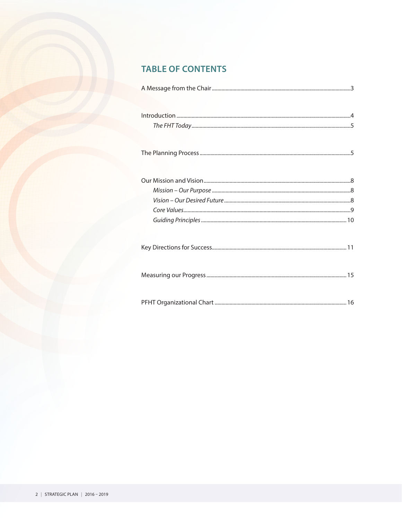### **TABLE OF CONTENTS**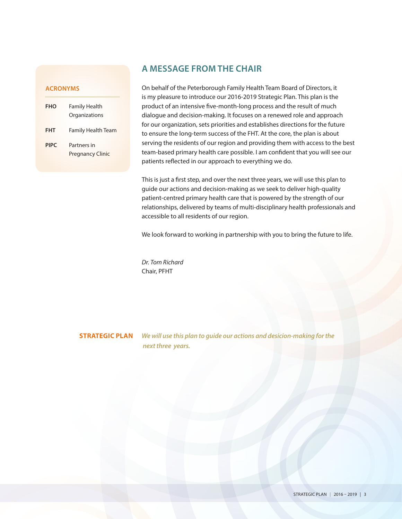#### **ACRONYMS**

| FHO         | Family Health<br>Organizations         |
|-------------|----------------------------------------|
| <b>FHT</b>  | <b>Family Health Team</b>              |
| <b>PIPC</b> | Partners in<br><b>Pregnancy Clinic</b> |

#### **A MESSAGE FROM THE CHAIR**

On behalf of the Peterborough Family Health Team Board of Directors, it is my pleasure to introduce our 2016-2019 Strategic Plan. This plan is the product of an intensive five-month-long process and the result of much dialogue and decision-making. It focuses on a renewed role and approach for our organization, sets priorities and establishes directions for the future to ensure the long-term success of the FHT. At the core, the plan is about serving the residents of our region and providing them with access to the best team-based primary health care possible. I am confident that you will see our patients reflected in our approach to everything we do.

This is just a first step, and over the next three years, we will use this plan to guide our actions and decision-making as we seek to deliver high-quality patient-centred primary health care that is powered by the strength of our relationships, delivered by teams of multi-disciplinary health professionals and accessible to all residents of our region.

We look forward to working in partnership with you to bring the future to life.

*Dr. Tom Richard* Chair, PFHT

**STRATEGIC PLAN** *We will use this plan to guide our actions and desicion-making for the next three years.*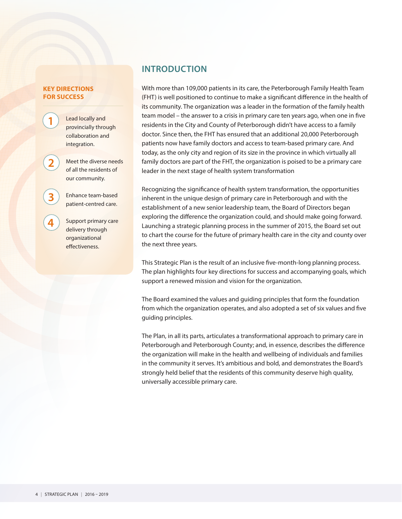#### **KEY DIRECTIONS FOR SUCCESS**

**1**

**2**

**3**

**4**

Lead locally and provincially through collaboration and integration.

Meet the diverse needs of all the residents of our community.

Enhance team-based patient-centred care.

Support primary care delivery through organizational effectiveness.

### **INTRODUCTION**

With more than 109,000 patients in its care, the Peterborough Family Health Team (FHT) is well positioned to continue to make a significant difference in the health of its community. The organization was a leader in the formation of the family health team model – the answer to a crisis in primary care ten years ago, when one in five residents in the City and County of Peterborough didn't have access to a family doctor. Since then, the FHT has ensured that an additional 20,000 Peterborough patients now have family doctors and access to team-based primary care. And today, as the only city and region of its size in the province in which virtually all family doctors are part of the FHT, the organization is poised to be a primary care leader in the next stage of health system transformation

Recognizing the significance of health system transformation, the opportunities inherent in the unique design of primary care in Peterborough and with the establishment of a new senior leadership team, the Board of Directors began exploring the difference the organization could, and should make going forward. Launching a strategic planning process in the summer of 2015, the Board set out to chart the course for the future of primary health care in the city and county over the next three years.

This Strategic Plan is the result of an inclusive five-month-long planning process. The plan highlights four key directions for success and accompanying goals, which support a renewed mission and vision for the organization.

The Board examined the values and guiding principles that form the foundation from which the organization operates, and also adopted a set of six values and five guiding principles.

The Plan, in all its parts, articulates a transformational approach to primary care in Peterborough and Peterborough County; and, in essence, describes the difference the organization will make in the health and wellbeing of individuals and families in the community it serves. It's ambitious and bold, and demonstrates the Board's strongly held belief that the residents of this community deserve high quality, universally accessible primary care.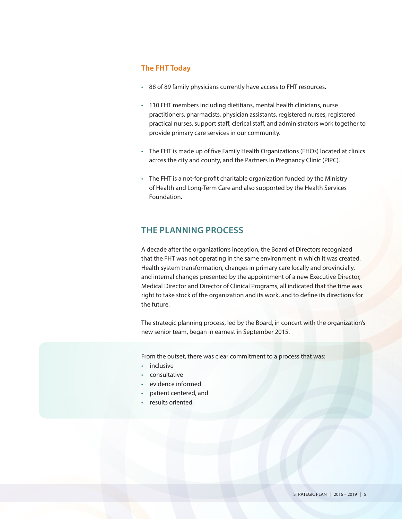#### **The FHT Today**

- 88 of 89 family physicians currently have access to FHT resources.
- 110 FHT members including dietitians, mental health clinicians, nurse practitioners, pharmacists, physician assistants, registered nurses, registered practical nurses, support staff, clerical staff, and administrators work together to provide primary care services in our community.
- The FHT is made up of five Family Health Organizations (FHOs) located at clinics across the city and county, and the Partners in Pregnancy Clinic (PIPC).
- The FHT is a not-for-profit charitable organization funded by the Ministry of Health and Long-Term Care and also supported by the Health Services Foundation.

### **THE PLANNING PROCESS**

A decade after the organization's inception, the Board of Directors recognized that the FHT was not operating in the same environment in which it was created. Health system transformation, changes in primary care locally and provincially, and internal changes presented by the appointment of a new Executive Director, Medical Director and Director of Clinical Programs, all indicated that the time was right to take stock of the organization and its work, and to define its directions for the future.

The strategic planning process, led by the Board, in concert with the organization's new senior team, began in earnest in September 2015.

From the outset, there was clear commitment to a process that was:

- inclusive
- consultative
- evidence informed
- patient centered, and
- results oriented.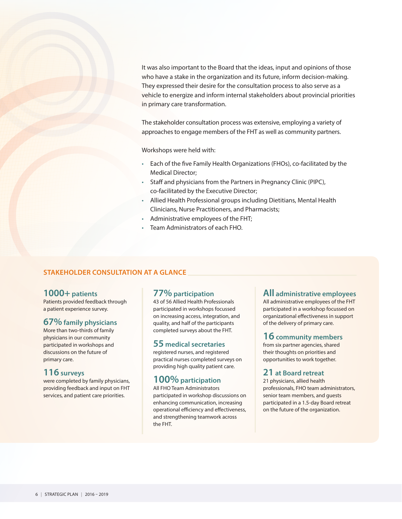It was also important to the Board that the ideas, input and opinions of those who have a stake in the organization and its future, inform decision-making. They expressed their desire for the consultation process to also serve as a vehicle to energize and inform internal stakeholders about provincial priorities in primary care transformation.

The stakeholder consultation process was extensive, employing a variety of approaches to engage members of the FHT as well as community partners.

Workshops were held with:

- Each of the five Family Health Organizations (FHOs), co-facilitated by the Medical Director;
- Staff and physicians from the Partners in Pregnancy Clinic (PIPC), co-facilitated by the Executive Director;
- Allied Health Professional groups including Dietitians, Mental Health Clinicians, Nurse Practitioners, and Pharmacists;
- Administrative employees of the FHT;
- Team Administrators of each FHO.

#### **STAKEHOLDER CONSULTATION AT A GLANCE**

#### **1000+ patients**

Patients provided feedback through a patient experience survey.

#### **67% family physicians**

More than two-thirds of family physicians in our community participated in workshops and discussions on the future of primary care.

#### **116 surveys**

were completed by family physicians, providing feedback and input on FHT services, and patient care priorities.

#### **77% participation**

43 of 56 Allied Health Professionals participated in workshops focussed on increasing access, integration, and quality, and half of the participants completed surveys about the FHT.

#### **55 medical secretaries**

registered nurses, and registered practical nurses completed surveys on providing high quality patient care.

#### **100% participation**

All FHO Team Administrators participated in workshop discussions on enhancing communication, increasing operational efficiency and effectiveness, and strengthening teamwork across the FHT.

#### **All administrative employees**

All administrative employees of the FHT participated in a workshop focussed on organizational effectiveness in support of the delivery of primary care.

#### **16 community members**

from six partner agencies, shared their thoughts on priorities and opportunities to work together.

#### **21 at Board retreat**

21 physicians, allied health professionals, FHO team administrators, senior team members, and guests participated in a 1.5-day Board retreat on the future of the organization.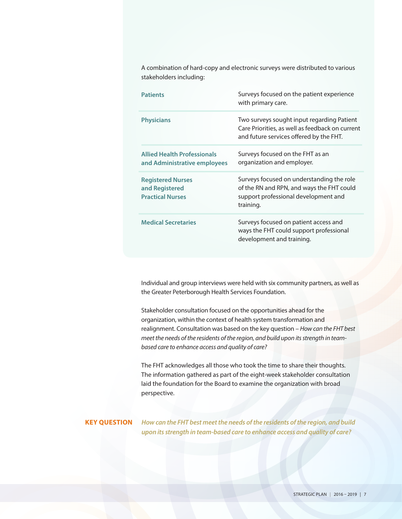A combination of hard-copy and electronic surveys were distributed to various stakeholders including:

| <b>Patients</b>                                                       | Surveys focused on the patient experience<br>with primary care.                                                                             |
|-----------------------------------------------------------------------|---------------------------------------------------------------------------------------------------------------------------------------------|
| <b>Physicians</b>                                                     | Two surveys sought input regarding Patient<br>Care Priorities, as well as feedback on current<br>and future services offered by the FHT.    |
| <b>Allied Health Professionals</b><br>and Administrative employees    | Surveys focused on the FHT as an<br>organization and employer.                                                                              |
| <b>Registered Nurses</b><br>and Registered<br><b>Practical Nurses</b> | Surveys focused on understanding the role<br>of the RN and RPN, and ways the FHT could<br>support professional development and<br>training. |
| <b>Medical Secretaries</b>                                            | Surveys focused on patient access and<br>ways the FHT could support professional<br>development and training.                               |

Individual and group interviews were held with six community partners, as well as the Greater Peterborough Health Services Foundation.

Stakeholder consultation focused on the opportunities ahead for the organization, within the context of health system transformation and realignment. Consultation was based on the key question – *How can the FHT best meet the needs of the residents of the region, and build upon its strength in teambased care to enhance access and quality of care?*

The FHT acknowledges all those who took the time to share their thoughts. The information gathered as part of the eight-week stakeholder consultation laid the foundation for the Board to examine the organization with broad perspective.

**KEY QUESTION** *How can the FHT best meet the needs of the residents of the region, and build upon its strength in team-based care to enhance access and quality of care?*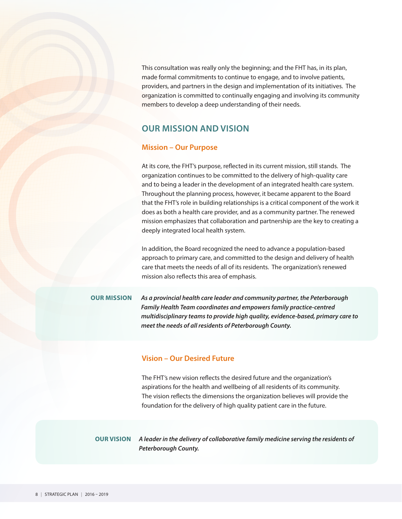This consultation was really only the beginning; and the FHT has, in its plan, made formal commitments to continue to engage, and to involve patients, providers, and partners in the design and implementation of its initiatives. The organization is committed to continually engaging and involving its community members to develop a deep understanding of their needs.

#### **OUR MISSION AND VISION**

#### **Mission – Our Purpose**

At its core, the FHT's purpose, reflected in its current mission, still stands. The organization continues to be committed to the delivery of high-quality care and to being a leader in the development of an integrated health care system. Throughout the planning process, however, it became apparent to the Board that the FHT's role in building relationships is a critical component of the work it does as both a health care provider, and as a community partner. The renewed mission emphasizes that collaboration and partnership are the key to creating a deeply integrated local health system.

In addition, the Board recognized the need to advance a population-based approach to primary care, and committed to the design and delivery of health care that meets the needs of all of its residents. The organization's renewed mission also reflects this area of emphasis.

**OUR MISSION** *As a provincial health care leader and community partner, the Peterborough Family Health Team coordinates and empowers family practice-centred multidisciplinary teams to provide high quality, evidence-based, primary care to meet the needs of all residents of Peterborough County.*

#### **Vision – Our Desired Future**

The FHT's new vision reflects the desired future and the organization's aspirations for the health and wellbeing of all residents of its community. The vision reflects the dimensions the organization believes will provide the foundation for the delivery of high quality patient care in the future.

**OUR VISION** *A leader in the delivery of collaborative family medicine serving the residents of Peterborough County.*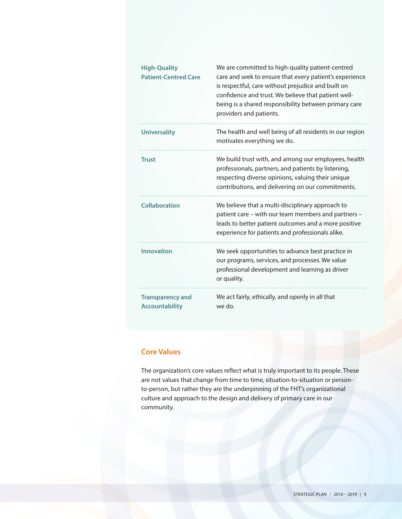| <b>High-Quality</b><br><b>Patient-Centred Care</b> | We are committed to high-quality patient-centred<br>care and seek to ensure that every patient's experience<br>is respectful, care without prejudice and built on<br>confidence and trust. We believe that patient well-<br>being is a shared responsibility between primary care<br>providers and patients. |
|----------------------------------------------------|--------------------------------------------------------------------------------------------------------------------------------------------------------------------------------------------------------------------------------------------------------------------------------------------------------------|
| <b>Universality</b>                                | The health and well being of all residents in our region<br>motivates everything we do.                                                                                                                                                                                                                      |
| <b>Trust</b>                                       | We build trust with, and among our employees, health<br>professionals, partners, and patients by listening,<br>respecting diverse opinions, valuing their unique<br>contributions, and delivering on our commitments.                                                                                        |
| <b>Collaboration</b>                               | We believe that a multi-disciplinary approach to<br>patient care - with our team members and partners -<br>leads to better patient outcomes and a more positive<br>experience for patients and professionals alike.                                                                                          |
| <b>Innovation</b>                                  | We seek opportunities to advance best practice in<br>our programs, services, and processes. We value<br>professional development and learning as driver<br>or quality.                                                                                                                                       |
| <b>Transparency and</b><br><b>Accountability</b>   | We act fairly, ethically, and openly in all that<br>we do.                                                                                                                                                                                                                                                   |

#### **Core Values**

The organization's core values reflect what is truly important to its people. These are not values that change from time to time, situation-to-situation or personto-person, but rather they are the underpinning of the FHT's organizational culture and approach to the design and delivery of primary care in our community.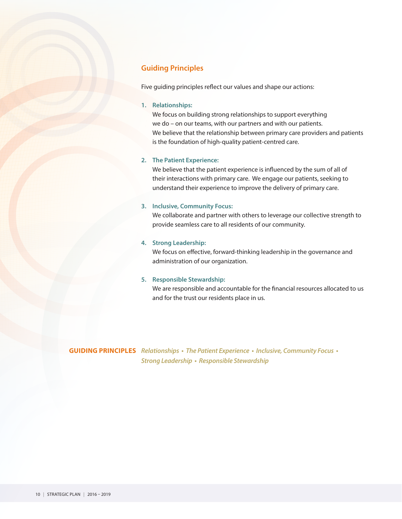#### **Guiding Principles**

Five guiding principles reflect our values and shape our actions:

#### **1. Relationships:**

We focus on building strong relationships to support everything we do – on our teams, with our partners and with our patients. We believe that the relationship between primary care providers and patients is the foundation of high-quality patient-centred care.

#### **2. The Patient Experience:**

We believe that the patient experience is influenced by the sum of all of their interactions with primary care. We engage our patients, seeking to understand their experience to improve the delivery of primary care.

#### **3. Inclusive, Community Focus:**

We collaborate and partner with others to leverage our collective strength to provide seamless care to all residents of our community.

#### **4. Strong Leadership:**

We focus on effective, forward-thinking leadership in the governance and administration of our organization.

#### **5. Responsible Stewardship:**

We are responsible and accountable for the financial resources allocated to us and for the trust our residents place in us.

**GUIDING PRINCIPLES** *Relationships • The Patient Experience • Inclusive, Community Focus • Strong Leadership • Responsible Stewardship*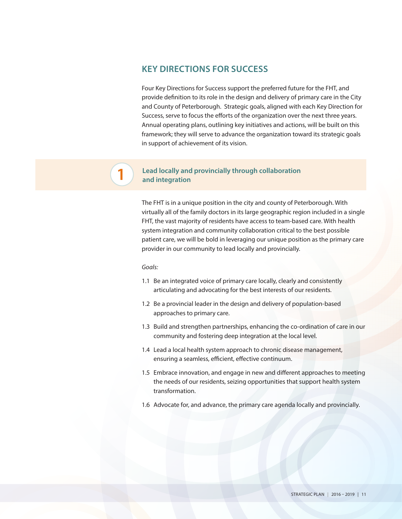#### **KEY DIRECTIONS FOR SUCCESS**

Four Key Directions for Success support the preferred future for the FHT, and provide definition to its role in the design and delivery of primary care in the City and County of Peterborough. Strategic goals, aligned with each Key Direction for Success, serve to focus the efforts of the organization over the next three years. Annual operating plans, outlining key initiatives and actions, will be built on this framework; they will serve to advance the organization toward its strategic goals in support of achievement of its vision.

#### **Lead locally and provincially through collaboration and integration**

The FHT is in a unique position in the city and county of Peterborough. With virtually all of the family doctors in its large geographic region included in a single FHT, the vast majority of residents have access to team-based care. With health system integration and community collaboration critical to the best possible patient care, we will be bold in leveraging our unique position as the primary care provider in our community to lead locally and provincially.

#### *Goals:*

**1**

- 1.1 Be an integrated voice of primary care locally, clearly and consistently articulating and advocating for the best interests of our residents.
- 1.2 Be a provincial leader in the design and delivery of population-based approaches to primary care.
- 1.3 Build and strengthen partnerships, enhancing the co-ordination of care in our community and fostering deep integration at the local level.
- 1.4 Lead a local health system approach to chronic disease management, ensuring a seamless, efficient, effective continuum.
- 1.5 Embrace innovation, and engage in new and different approaches to meeting the needs of our residents, seizing opportunities that support health system transformation.
- 1.6 Advocate for, and advance, the primary care agenda locally and provincially.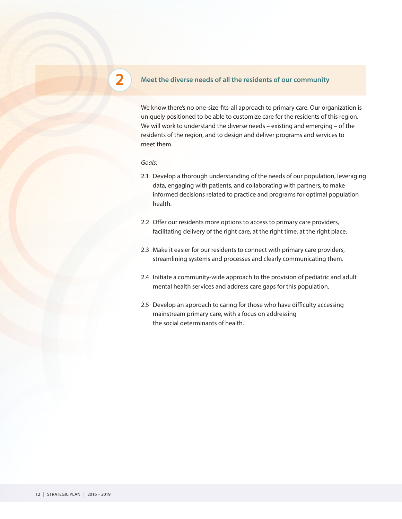#### **Meet the diverse needs of all the residents of our community**

We know there's no one-size-fits-all approach to primary care. Our organization is uniquely positioned to be able to customize care for the residents of this region. We will work to understand the diverse needs – existing and emerging – of the residents of the region, and to design and deliver programs and services to meet them.

*Goals:*

**2**

- 2.1 Develop a thorough understanding of the needs of our population, leveraging data, engaging with patients, and collaborating with partners, to make informed decisions related to practice and programs for optimal population health.
- 2.2 Offer our residents more options to access to primary care providers, facilitating delivery of the right care, at the right time, at the right place.
- 2.3 Make it easier for our residents to connect with primary care providers, streamlining systems and processes and clearly communicating them.
- 2.4 Initiate a community-wide approach to the provision of pediatric and adult mental health services and address care gaps for this population.
- 2.5 Develop an approach to caring for those who have difficulty accessing mainstream primary care, with a focus on addressing the social determinants of health.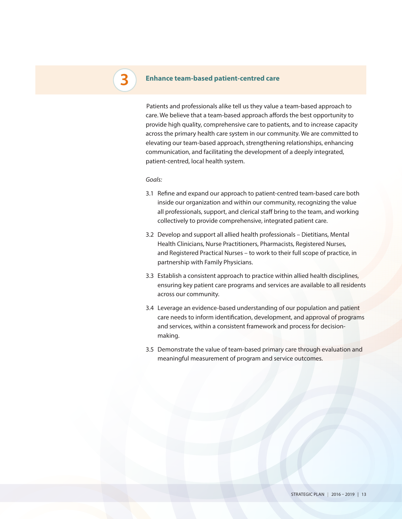## **3**

#### **Enhance team-based patient-centred care**

Patients and professionals alike tell us they value a team-based approach to care. We believe that a team-based approach affords the best opportunity to provide high quality, comprehensive care to patients, and to increase capacity across the primary health care system in our community. We are committed to elevating our team-based approach, strengthening relationships, enhancing communication, and facilitating the development of a deeply integrated, patient-centred, local health system.

#### *Goals:*

- 3.1 Refine and expand our approach to patient-centred team-based care both inside our organization and within our community, recognizing the value all professionals, support, and clerical staff bring to the team, and working collectively to provide comprehensive, integrated patient care.
- 3.2 Develop and support all allied health professionals Dietitians, Mental Health Clinicians, Nurse Practitioners, Pharmacists, Registered Nurses, and Registered Practical Nurses – to work to their full scope of practice, in partnership with Family Physicians.
- 3.3 Establish a consistent approach to practice within allied health disciplines, ensuring key patient care programs and services are available to all residents across our community.
- 3.4 Leverage an evidence-based understanding of our population and patient care needs to inform identification, development, and approval of programs and services, within a consistent framework and process for decisionmaking.
- 3.5 Demonstrate the value of team-based primary care through evaluation and meaningful measurement of program and service outcomes.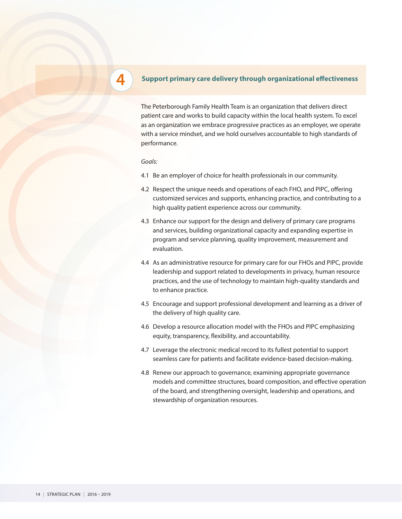#### **4** Support primary care delivery through organizational effectiveness

The Peterborough Family Health Team is an organization that delivers direct patient care and works to build capacity within the local health system. To excel as an organization we embrace progressive practices as an employer, we operate with a service mindset, and we hold ourselves accountable to high standards of performance.

*Goals:*

- 4.1 Be an employer of choice for health professionals in our community.
- 4.2 Respect the unique needs and operations of each FHO, and PIPC, offering customized services and supports, enhancing practice, and contributing to a high quality patient experience across our community.
- 4.3 Enhance our support for the design and delivery of primary care programs and services, building organizational capacity and expanding expertise in program and service planning, quality improvement, measurement and evaluation.
- 4.4 As an administrative resource for primary care for our FHOs and PIPC, provide leadership and support related to developments in privacy, human resource practices, and the use of technology to maintain high-quality standards and to enhance practice.
- 4.5 Encourage and support professional development and learning as a driver of the delivery of high quality care.
- 4.6 Develop a resource allocation model with the FHOs and PIPC emphasizing equity, transparency, flexibility, and accountability.
- 4.7 Leverage the electronic medical record to its fullest potential to support seamless care for patients and facilitate evidence-based decision-making.
- 4.8 Renew our approach to governance, examining appropriate governance models and committee structures, board composition, and effective operation of the board, and strengthening oversight, leadership and operations, and stewardship of organization resources.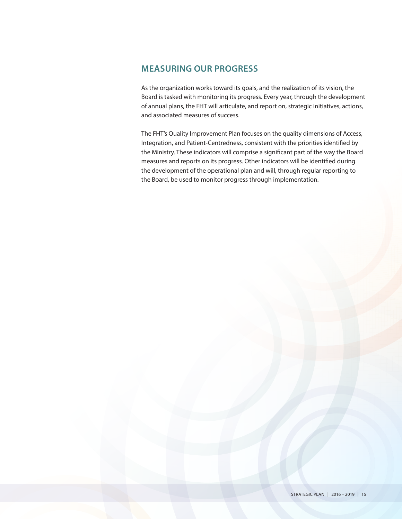### **MEASURING OUR PROGRESS**

As the organization works toward its goals, and the realization of its vision, the Board is tasked with monitoring its progress. Every year, through the development of annual plans, the FHT will articulate, and report on, strategic initiatives, actions, and associated measures of success.

The FHT's Quality Improvement Plan focuses on the quality dimensions of Access, Integration, and Patient-Centredness, consistent with the priorities identified by the Ministry. These indicators will comprise a significant part of the way the Board measures and reports on its progress. Other indicators will be identified during the development of the operational plan and will, through regular reporting to the Board, be used to monitor progress through implementation.